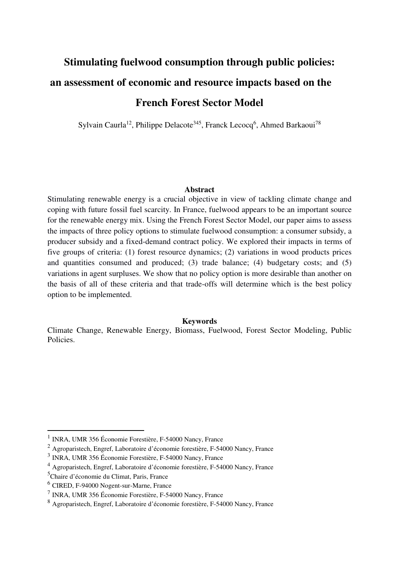# **Stimulating fuelwood consumption through public policies: an assessment of economic and resource impacts based on the French Forest Sector Model**

Sylvain Caurla<sup>12</sup>, Philippe Delacote<sup>345</sup>, Franck Lecocq<sup>6</sup>, Ahmed Barkaoui<sup>78</sup>

#### **Abstract**

Stimulating renewable energy is a crucial objective in view of tackling climate change and coping with future fossil fuel scarcity. In France, fuelwood appears to be an important source for the renewable energy mix. Using the French Forest Sector Model, our paper aims to assess the impacts of three policy options to stimulate fuelwood consumption: a consumer subsidy, a producer subsidy and a fixed-demand contract policy. We explored their impacts in terms of five groups of criteria: (1) forest resource dynamics; (2) variations in wood products prices and quantities consumed and produced; (3) trade balance; (4) budgetary costs; and (5) variations in agent surpluses. We show that no policy option is more desirable than another on the basis of all of these criteria and that trade-offs will determine which is the best policy option to be implemented.

#### **Keywords**

Climate Change, Renewable Energy, Biomass, Fuelwood, Forest Sector Modeling, Public Policies.

j

<sup>1</sup> INRA, UMR 356 Économie Forestière, F-54000 Nancy, France

 $2 \text{ Agroparistech}$ , Engref, Laboratoire d'économie forestière, F-54000 Nancy, France

<sup>3</sup> INRA, UMR 356 Économie Forestière, F-54000 Nancy, France

<sup>4</sup> Agroparistech, Engref, Laboratoire d'économie forestière, F-54000 Nancy, France

<sup>5</sup>Chaire d'économie du Climat, Paris, France

<sup>6</sup> CIRED, F-94000 Nogent-sur-Marne, France

<sup>7</sup> INRA, UMR 356 Économie Forestière, F-54000 Nancy, France

<sup>8</sup> Agroparistech, Engref, Laboratoire d'économie forestière, F-54000 Nancy, France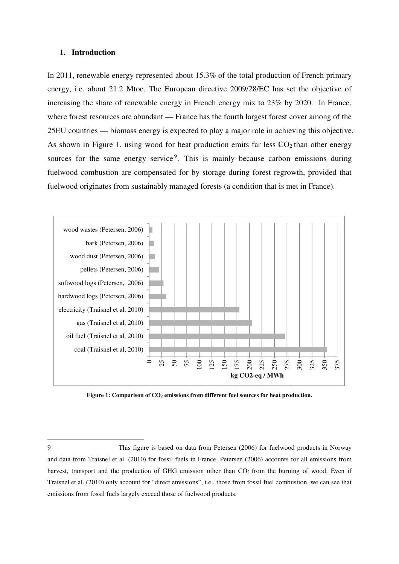#### **1. Introduction**

j

In 2011, renewable energy represented about 15.3% of the total production of French primary energy, i.e. about 21.2 Mtoe. The European directive 2009/28/EC has set the objective of increasing the share of renewable energy in French energy mix to 23% by 2020. In France, where forest resources are abundant — France has the fourth largest forest cover among of the 25EU countries — biomass energy is expected to play a major role in achieving this objective. As shown in Figure 1, using wood for heat production emits far less  $CO<sub>2</sub>$  than other energy sources for the same energy service<sup>9</sup>. This is mainly because carbon emissions during fuelwood combustion are compensated for by storage during forest regrowth, provided that fuelwood originates from sustainably managed forests (a condition that is met in France).



**Figure 1: Comparison of CO2 emissions from different fuel sources for heat production.** 

<sup>9</sup> This figure is based on data from Petersen (2006) for fuelwood products in Norway and data from Traisnel et al. (2010) for fossil fuels in France. Petersen (2006) accounts for all emissions from harvest, transport and the production of GHG emission other than  $CO<sub>2</sub>$  from the burning of wood. Even if Traisnel et al. (2010) only account for "direct emissions", i.e., those from fossil fuel combustion, we can see that emissions from fossil fuels largely exceed those of fuelwood products.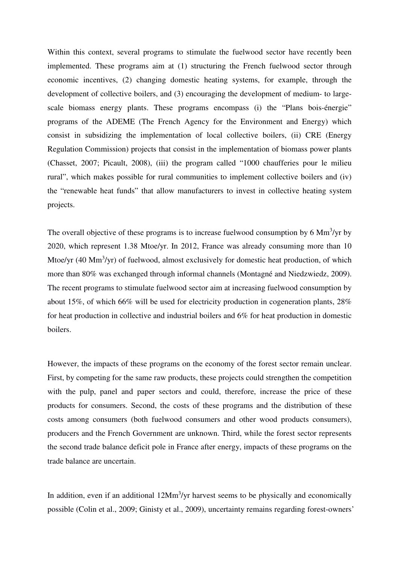Within this context, several programs to stimulate the fuelwood sector have recently been implemented. These programs aim at (1) structuring the French fuelwood sector through economic incentives, (2) changing domestic heating systems, for example, through the development of collective boilers, and (3) encouraging the development of medium- to largescale biomass energy plants. These programs encompass (i) the "Plans bois-énergie" programs of the ADEME (The French Agency for the Environment and Energy) which consist in subsidizing the implementation of local collective boilers, (ii) CRE (Energy Regulation Commission) projects that consist in the implementation of biomass power plants (Chasset, 2007; Picault, 2008), (iii) the program called "1000 chaufferies pour le milieu rural", which makes possible for rural communities to implement collective boilers and (iv) the "renewable heat funds" that allow manufacturers to invest in collective heating system projects.

The overall objective of these programs is to increase fuelwood consumption by 6 Mm<sup>3</sup>/yr by 2020, which represent 1.38 Mtoe/yr. In 2012, France was already consuming more than 10 Mtoe/yr (40 Mm<sup>3</sup>/yr) of fuelwood, almost exclusively for domestic heat production, of which more than 80% was exchanged through informal channels (Montagné and Niedzwiedz, 2009). The recent programs to stimulate fuelwood sector aim at increasing fuelwood consumption by about 15%, of which 66% will be used for electricity production in cogeneration plants, 28% for heat production in collective and industrial boilers and 6% for heat production in domestic boilers.

However, the impacts of these programs on the economy of the forest sector remain unclear. First, by competing for the same raw products, these projects could strengthen the competition with the pulp, panel and paper sectors and could, therefore, increase the price of these products for consumers. Second, the costs of these programs and the distribution of these costs among consumers (both fuelwood consumers and other wood products consumers), producers and the French Government are unknown. Third, while the forest sector represents the second trade balance deficit pole in France after energy, impacts of these programs on the trade balance are uncertain.

In addition, even if an additional 12Mm<sup>3</sup>/yr harvest seems to be physically and economically possible (Colin et al., 2009; Ginisty et al., 2009), uncertainty remains regarding forest-owners'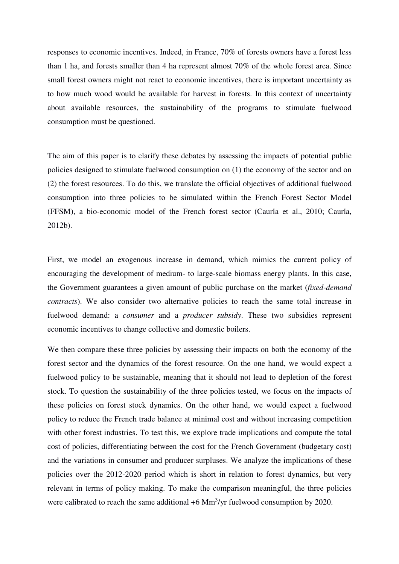responses to economic incentives. Indeed, in France, 70% of forests owners have a forest less than 1 ha, and forests smaller than 4 ha represent almost 70% of the whole forest area. Since small forest owners might not react to economic incentives, there is important uncertainty as to how much wood would be available for harvest in forests. In this context of uncertainty about available resources, the sustainability of the programs to stimulate fuelwood consumption must be questioned.

The aim of this paper is to clarify these debates by assessing the impacts of potential public policies designed to stimulate fuelwood consumption on (1) the economy of the sector and on (2) the forest resources. To do this, we translate the official objectives of additional fuelwood consumption into three policies to be simulated within the French Forest Sector Model (FFSM), a bio-economic model of the French forest sector (Caurla et al., 2010; Caurla, 2012b).

First, we model an exogenous increase in demand, which mimics the current policy of encouraging the development of medium- to large-scale biomass energy plants. In this case, the Government guarantees a given amount of public purchase on the market (*fixed-demand contracts*). We also consider two alternative policies to reach the same total increase in fuelwood demand: a *consumer* and a *producer subsidy*. These two subsidies represent economic incentives to change collective and domestic boilers.

We then compare these three policies by assessing their impacts on both the economy of the forest sector and the dynamics of the forest resource. On the one hand, we would expect a fuelwood policy to be sustainable, meaning that it should not lead to depletion of the forest stock. To question the sustainability of the three policies tested, we focus on the impacts of these policies on forest stock dynamics. On the other hand, we would expect a fuelwood policy to reduce the French trade balance at minimal cost and without increasing competition with other forest industries. To test this, we explore trade implications and compute the total cost of policies, differentiating between the cost for the French Government (budgetary cost) and the variations in consumer and producer surpluses. We analyze the implications of these policies over the 2012-2020 period which is short in relation to forest dynamics, but very relevant in terms of policy making. To make the comparison meaningful, the three policies were calibrated to reach the same additional  $+6$  Mm<sup>3</sup>/yr fuelwood consumption by 2020.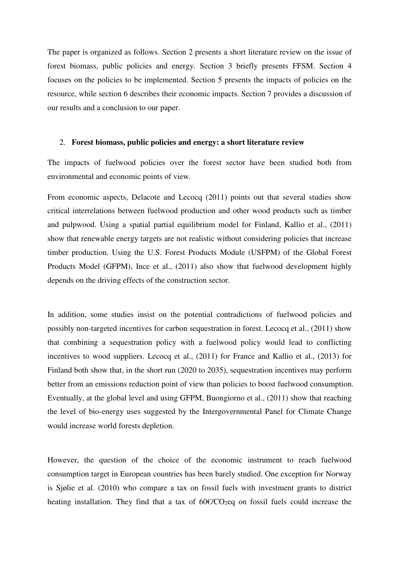The paper is organized as follows. Section 2 presents a short literature review on the issue of forest biomass, public policies and energy. Section 3 briefly presents FFSM. Section 4 focuses on the policies to be implemented. Section 5 presents the impacts of policies on the resource, while section 6 describes their economic impacts. Section 7 provides a discussion of our results and a conclusion to our paper.

#### 2. **Forest biomass, public policies and energy: a short literature review**

The impacts of fuelwood policies over the forest sector have been studied both from environmental and economic points of view.

From economic aspects, Delacote and Lecocq (2011) points out that several studies show critical interrelations between fuelwood production and other wood products such as timber and pulpwood. Using a spatial partial equilibrium model for Finland, Kallio et al., (2011) show that renewable energy targets are not realistic without considering policies that increase timber production. Using the U.S. Forest Products Module (USFPM) of the Global Forest Products Model (GFPM), Ince et al., (2011) also show that fuelwood development highly depends on the driving effects of the construction sector.

In addition, some studies insist on the potential contradictions of fuelwood policies and possibly non-targeted incentives for carbon sequestration in forest. Lecocq et al., (2011) show that combining a sequestration policy with a fuelwood policy would lead to conflicting incentives to wood suppliers. Lecocq et al., (2011) for France and Kallio et al., (2013) for Finland both show that, in the short run (2020 to 2035), sequestration incentives may perform better from an emissions reduction point of view than policies to boost fuelwood consumption. Eventually, at the global level and using GFPM, Buongiorno et al., (2011) show that reaching the level of bio-energy uses suggested by the Intergovernmental Panel for Climate Change would increase world forests depletion.

However, the question of the choice of the economic instrument to reach fuelwood consumption target in European countries has been barely studied. One exception for Norway is Sjølie et al. (2010) who compare a tax on fossil fuels with investment grants to district heating installation. They find that a tax of  $60 \times CO<sub>2</sub>$ eq on fossil fuels could increase the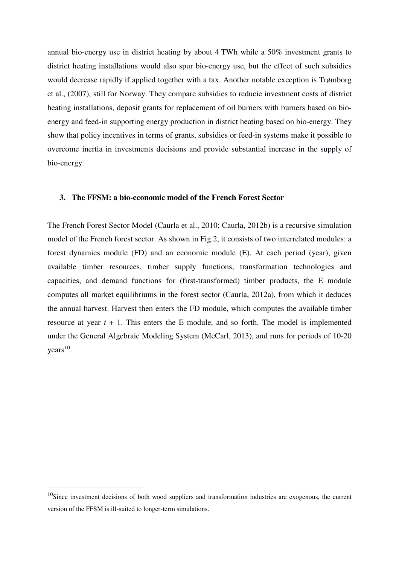annual bio-energy use in district heating by about 4 TWh while a 50% investment grants to district heating installations would also spur bio-energy use, but the effect of such subsidies would decrease rapidly if applied together with a tax. Another notable exception is Trømborg et al., (2007), still for Norway. They compare subsidies to reducie investment costs of district heating installations, deposit grants for replacement of oil burners with burners based on bioenergy and feed-in supporting energy production in district heating based on bio-energy. They show that policy incentives in terms of grants, subsidies or feed-in systems make it possible to overcome inertia in investments decisions and provide substantial increase in the supply of bio-energy.

#### **3. The FFSM: a bio-economic model of the French Forest Sector**

The French Forest Sector Model (Caurla et al., 2010; Caurla, 2012b) is a recursive simulation model of the French forest sector. As shown in Fig.2, it consists of two interrelated modules: a forest dynamics module (FD) and an economic module (E). At each period (year), given available timber resources, timber supply functions, transformation technologies and capacities, and demand functions for (first-transformed) timber products, the E module computes all market equilibriums in the forest sector (Caurla, 2012a), from which it deduces the annual harvest. Harvest then enters the FD module, which computes the available timber resource at year  $t + 1$ . This enters the E module, and so forth. The model is implemented under the General Algebraic Modeling System (McCarl, 2013), and runs for periods of 10-20  $years<sup>10</sup>$ .

j

<sup>&</sup>lt;sup>10</sup>Since investment decisions of both wood suppliers and transformation industries are exogenous, the current version of the FFSM is ill-suited to longer-term simulations.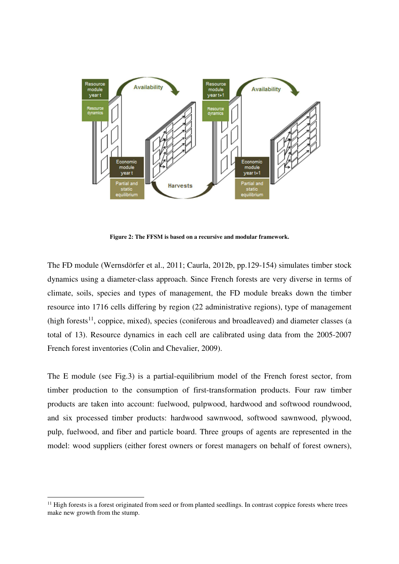

**Figure 2: The FFSM is based on a recursive and modular framework.** 

The FD module (Wernsdörfer et al., 2011; Caurla, 2012b, pp.129-154) simulates timber stock dynamics using a diameter-class approach. Since French forests are very diverse in terms of climate, soils, species and types of management, the FD module breaks down the timber resource into 1716 cells differing by region (22 administrative regions), type of management  $(high forests<sup>11</sup>, coppice, mixed)$ , species (coniferous and broadleaved) and diameter classes (a total of 13). Resource dynamics in each cell are calibrated using data from the 2005-2007 French forest inventories (Colin and Chevalier, 2009).

The E module (see Fig.3) is a partial-equilibrium model of the French forest sector, from timber production to the consumption of first-transformation products. Four raw timber products are taken into account: fuelwood, pulpwood, hardwood and softwood roundwood, and six processed timber products: hardwood sawnwood, softwood sawnwood, plywood, pulp, fuelwood, and fiber and particle board. Three groups of agents are represented in the model: wood suppliers (either forest owners or forest managers on behalf of forest owners),

l

<sup>&</sup>lt;sup>11</sup> High forests is a forest originated from seed or from planted seedlings. In contrast coppice forests where trees make new growth from the stump.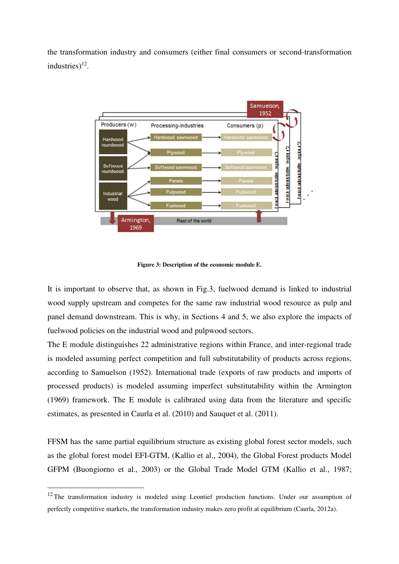the transformation industry and consumers (either final consumers or second-transformation industries) $^{12}$ .



**Figure 3: Description of the economic module E.** 

It is important to observe that, as shown in Fig.3, fuelwood demand is linked to industrial wood supply upstream and competes for the same raw industrial wood resource as pulp and panel demand downstream. This is why, in Sections 4 and 5, we also explore the impacts of fuelwood policies on the industrial wood and pulpwood sectors.

The E module distinguishes 22 administrative regions within France, and inter-regional trade is modeled assuming perfect competition and full substitutability of products across regions, according to Samuelson (1952). International trade (exports of raw products and imports of processed products) is modeled assuming imperfect substitutability within the Armington (1969) framework. The E module is calibrated using data from the literature and specific estimates, as presented in Caurla et al. (2010) and Sauquet et al. (2011).

FFSM has the same partial equilibrium structure as existing global forest sector models, such as the global forest model EFI-GTM, (Kallio et al., 2004), the Global Forest products Model GFPM (Buongiorno et al., 2003) or the Global Trade Model GTM (Kallio et al., 1987;

j

<sup>&</sup>lt;sup>12</sup>The transformation industry is modeled using Leontief production functions. Under our assumption of perfectly competitive markets, the transformation industry makes zero profit at equilibrium (Caurla, 2012a).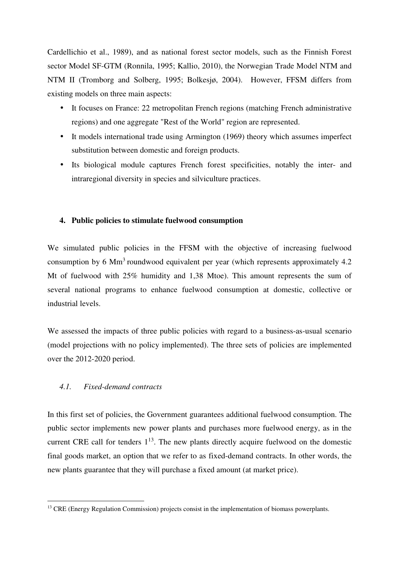Cardellichio et al., 1989), and as national forest sector models, such as the Finnish Forest sector Model SF-GTM (Ronnila, 1995; Kallio, 2010), the Norwegian Trade Model NTM and NTM II (Tromborg and Solberg, 1995; Bolkesjø, 2004). However, FFSM differs from existing models on three main aspects:

- It focuses on France: 22 metropolitan French regions (matching French administrative regions) and one aggregate "Rest of the World" region are represented.
- It models international trade using Armington (1969) theory which assumes imperfect substitution between domestic and foreign products.
- Its biological module captures French forest specificities, notably the inter- and intraregional diversity in species and silviculture practices.

## **4. Public policies to stimulate fuelwood consumption**

We simulated public policies in the FFSM with the objective of increasing fuelwood consumption by  $6 \text{ Mm}^3$  roundwood equivalent per year (which represents approximately 4.2) Mt of fuelwood with 25% humidity and 1,38 Mtoe). This amount represents the sum of several national programs to enhance fuelwood consumption at domestic, collective or industrial levels.

We assessed the impacts of three public policies with regard to a business-as-usual scenario (model projections with no policy implemented). The three sets of policies are implemented over the 2012-2020 period.

## *4.1. Fixed-demand contracts*

j

In this first set of policies, the Government guarantees additional fuelwood consumption. The public sector implements new power plants and purchases more fuelwood energy, as in the current CRE call for tenders  $1^{13}$ . The new plants directly acquire fuelwood on the domestic final goods market, an option that we refer to as fixed-demand contracts. In other words, the new plants guarantee that they will purchase a fixed amount (at market price).

<sup>&</sup>lt;sup>13</sup> CRE (Energy Regulation Commission) projects consist in the implementation of biomass powerplants.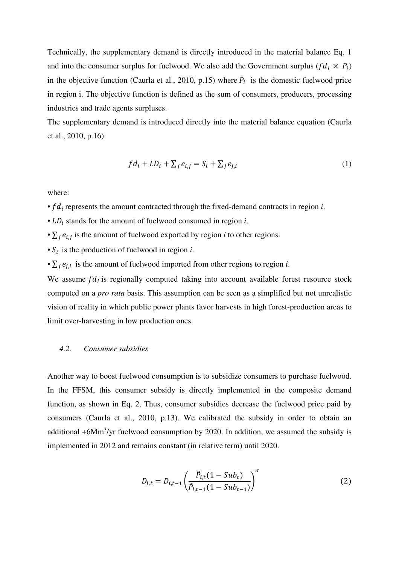Technically, the supplementary demand is directly introduced in the material balance Eq. 1 and into the consumer surplus for fuelwood. We also add the Government surplus  $(fd_i \times P_i)$ in the objective function (Caurla et al., 2010, p.15) where  $P_i$  is the domestic fuelwood price in region i. The objective function is defined as the sum of consumers, producers, processing industries and trade agents surpluses.

The supplementary demand is introduced directly into the material balance equation (Caurla et al., 2010, p.16):

$$
fd_i + LD_i + \sum_j e_{i,j} = S_i + \sum_j e_{j,i}
$$
\n<sup>(1)</sup>

where:

- $fd<sub>i</sub>$  represents the amount contracted through the fixed-demand contracts in region  $i$ .
- $LD_i$  stands for the amount of fuelwood consumed in region  $i$ .
- $\sum_i e_{i,i}$  is the amount of fuelwood exported by region *i* to other regions.
- $S_i$  is the production of fuelwood in region *i*.
- $\sum_j e_{j,i}$  is the amount of fuelwood imported from other regions to region *i*.

We assume  $fd<sub>i</sub>$  is regionally computed taking into account available forest resource stock computed on a *pro rata* basis. This assumption can be seen as a simplified but not unrealistic vision of reality in which public power plants favor harvests in high forest-production areas to limit over-harvesting in low production ones.

#### *4.2. Consumer subsidies*

Another way to boost fuelwood consumption is to subsidize consumers to purchase fuelwood. In the FFSM, this consumer subsidy is directly implemented in the composite demand function, as shown in Eq. 2. Thus, consumer subsidies decrease the fuelwood price paid by consumers (Caurla et al., 2010, p.13). We calibrated the subsidy in order to obtain an additional  $+6Mm<sup>3</sup>/yr$  fuelwood consumption by 2020. In addition, we assumed the subsidy is implemented in 2012 and remains constant (in relative term) until 2020.

$$
D_{i,t} = D_{i,t-1} \left( \frac{\tilde{P}_{i,t} (1 - Sub_t)}{\tilde{P}_{i,t-1} (1 - Sub_{t-1})} \right)^{\sigma}
$$
(2)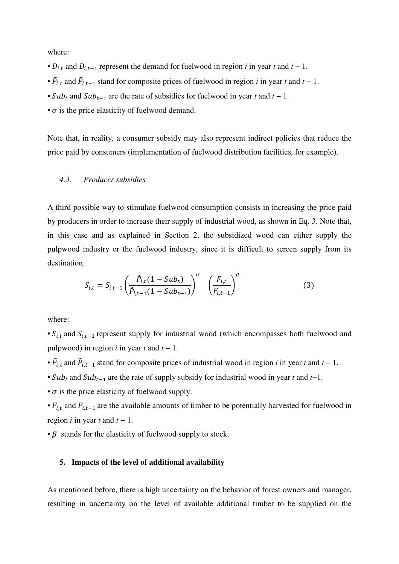where:

- $D_{i,t}$  and  $D_{i,t-1}$  represent the demand for fuelwood in region *i* in year *t* and *t* − 1.
- $\tilde{P}_{i,t}$  and  $\tilde{P}_{i,t-1}$  stand for composite prices of fuelwood in region *i* in year *t* and *t* − 1.
- $Sub_t$  and  $Sub_{t-1}$  are the rate of subsidies for fuelwood in year *t* and  $t 1$ .
- $\bullet$   $\sigma$  is the price elasticity of fuelwood demand.

Note that, in reality, a consumer subsidy may also represent indirect policies that reduce the price paid by consumers (implementation of fuelwood distribution facilities, for example).

# *4.3. Producer subsidies*

A third possible way to stimulate fuelwood consumption consists in increasing the price paid by producers in order to increase their supply of industrial wood, as shown in Eq. 3. Note that, in this case and as explained in Section 2, the subsidized wood can either supply the pulpwood industry or the fuelwood industry, since it is difficult to screen supply from its destination.

$$
S_{i,t} = S_{i,t-1} \left( \frac{\tilde{P}_{i,t} (1 - Sub_t)}{\tilde{P}_{i,t-1} (1 - Sub_{t-1})} \right)^{\sigma} \left( \frac{F_{i,t}}{F_{i,t-1}} \right)^{\beta} \tag{3}
$$

where:

•  $S_{i,t}$  and  $S_{i,t-1}$  represent supply for industrial wood (which encompasses both fuelwood and pulpwood) in region *i* in year *t* and  $t - 1$ .

- $\tilde{P}_{i,t}$  and  $\tilde{P}_{i,t-1}$  stand for composite prices of industrial wood in region *i* in year *t* and *t* − 1.
- $Sub_t$  and  $Sub_{t-1}$  are the rate of supply subsidy for industrial wood in year *t* and *t*−1.
- $\bullet$   $\sigma$  is the price elasticity of fuelwood supply.

•  $F_{i,t}$  and  $F_{i,t-1}$  are the available amounts of timber to be potentially harvested for fuelwood in region *i* in year *t* and  $t - 1$ .

 $\cdot \beta$  stands for the elasticity of fuelwood supply to stock.

#### **5. Impacts of the level of additional availability**

As mentioned before, there is high uncertainty on the behavior of forest owners and manager, resulting in uncertainty on the level of available additional timber to be supplied on the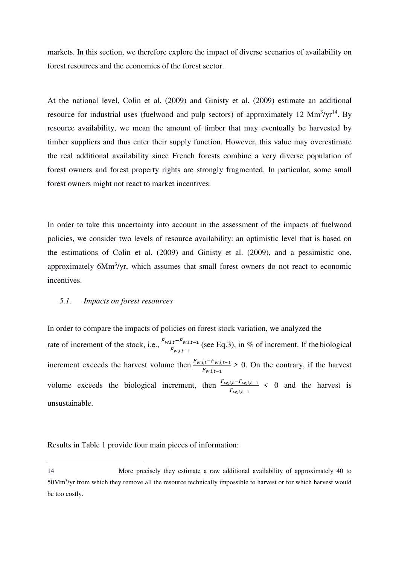markets. In this section, we therefore explore the impact of diverse scenarios of availability on forest resources and the economics of the forest sector.

At the national level, Colin et al. (2009) and Ginisty et al. (2009) estimate an additional resource for industrial uses (fuelwood and pulp sectors) of approximately 12  $\text{Mm}^3/\text{yr}^{14}$ . By resource availability, we mean the amount of timber that may eventually be harvested by timber suppliers and thus enter their supply function. However, this value may overestimate the real additional availability since French forests combine a very diverse population of forest owners and forest property rights are strongly fragmented. In particular, some small forest owners might not react to market incentives.

In order to take this uncertainty into account in the assessment of the impacts of fuelwood policies, we consider two levels of resource availability: an optimistic level that is based on the estimations of Colin et al. (2009) and Ginisty et al. (2009), and a pessimistic one, approximately 6Mm<sup>3</sup>/yr, which assumes that small forest owners do not react to economic incentives.

#### *5.1. Impacts on forest resources*

In order to compare the impacts of policies on forest stock variation, we analyzed the rate of increment of the stock, i.e.,  $\frac{F_{w,i,t}-F_{w,i,t-1}}{F}$  $F_{w,i,t-1}$ (see Eq.3), in  $%$  of increment. If the biological increment exceeds the harvest volume then  $\frac{F_{w,i,t}-F_{w,i,t-1}}{R}$  $\frac{a_i t^{r-r} w_i t_i}{F_{w,i,t-1}} > 0$ . On the contrary, if the harvest volume exceeds the biological increment, then  $\frac{F_{w,i,t}-F_{w,i,t-1}}{R}$  $\frac{a_i t^{T} w_{i,i} t^{-1}}{F_{w,i,t-1}}$  < 0 and the harvest is unsustainable.

Results in Table 1 provide four main pieces of information:

l

<sup>14</sup> More precisely they estimate a raw additional availability of approximately 40 to 50Mm<sup>3</sup>/yr from which they remove all the resource technically impossible to harvest or for which harvest would be too costly.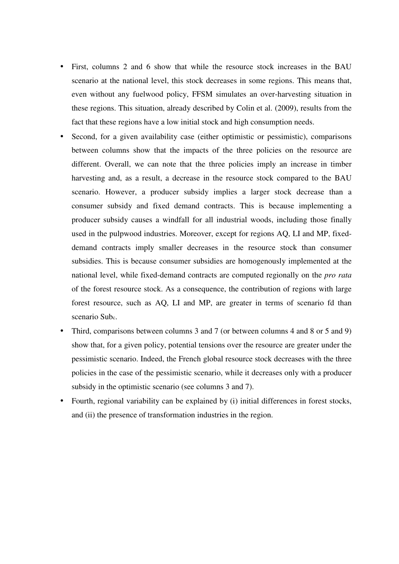- First, columns 2 and 6 show that while the resource stock increases in the BAU scenario at the national level, this stock decreases in some regions. This means that, even without any fuelwood policy, FFSM simulates an over-harvesting situation in these regions. This situation, already described by Colin et al. (2009), results from the fact that these regions have a low initial stock and high consumption needs.
- Second, for a given availability case (either optimistic or pessimistic), comparisons between columns show that the impacts of the three policies on the resource are different. Overall, we can note that the three policies imply an increase in timber harvesting and, as a result, a decrease in the resource stock compared to the BAU scenario. However, a producer subsidy implies a larger stock decrease than a consumer subsidy and fixed demand contracts. This is because implementing a producer subsidy causes a windfall for all industrial woods, including those finally used in the pulpwood industries. Moreover, except for regions AQ, LI and MP, fixeddemand contracts imply smaller decreases in the resource stock than consumer subsidies. This is because consumer subsidies are homogenously implemented at the national level, while fixed-demand contracts are computed regionally on the *pro rata*  of the forest resource stock. As a consequence, the contribution of regions with large forest resource, such as AQ, LI and MP, are greater in terms of scenario fd than scenario Subc.
- Third, comparisons between columns 3 and 7 (or between columns 4 and 8 or 5 and 9) show that, for a given policy, potential tensions over the resource are greater under the pessimistic scenario. Indeed, the French global resource stock decreases with the three policies in the case of the pessimistic scenario, while it decreases only with a producer subsidy in the optimistic scenario (see columns 3 and 7).
- Fourth, regional variability can be explained by (i) initial differences in forest stocks, and (ii) the presence of transformation industries in the region.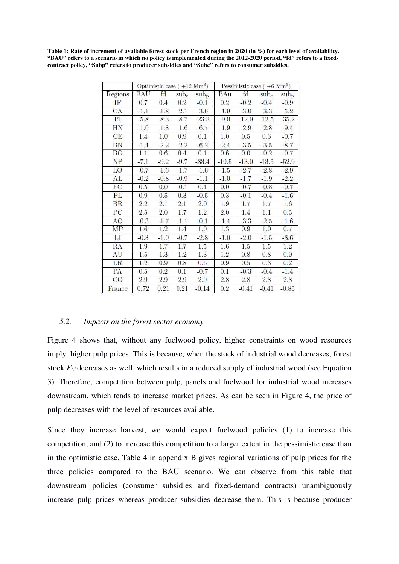**Table 1: Rate of increment of available forest stock per French region in 2020 (in %) for each level of availability. "BAU" refers to a scenario in which no policy is implemented during the 2012-2020 period, "fd" refers to a fixedcontract policy, "Subp" refers to producer subsidies and "Subc" refers to consumer subsidies.** 

|           | Optimistic case $(+12 \text{ Mm}^3)$ |        |                  |           | Pessimistic case ( $+6$ Mm <sup>3</sup> ) |         |                |           |
|-----------|--------------------------------------|--------|------------------|-----------|-------------------------------------------|---------|----------------|-----------|
| Regions   | BAU                                  | fd     | sub <sub>c</sub> | $sub_{p}$ | BAu                                       | fd      | $\text{sub}_c$ | $sub_{p}$ |
| IF        | 0.7                                  | 0.4    | 0.2              | $-0.1$    | 0.2                                       | $-0.2$  | $-0.4$         | $-0.9$    |
| СA        | $-1.1$                               | $-1.8$ | $-2.1$           | $-3.6$    | $-1.9$                                    | $-3.0$  | $-3.3$         | $-5.2$    |
| PI        | $-5.8$                               | $-8.3$ | $-8.7$           | $-23.3$   | $-9.0$                                    | $-12.0$ | $-12.5$        | $-35.2$   |
| HN        | $-1.0$                               | $-1.8$ | $-1.6$           | $-6.7$    | $-1.9$                                    | $-2.9$  | $-2.8$         | $-9.4$    |
| CE        | 1.4                                  | 1.0    | 0.9              | 0.1       | 1.0                                       | 0.5     | 0.3            | $-0.7$    |
| BN        | $-1.4$                               | $-2.2$ | $-2.2$           | $-6.2$    | $-2.4$                                    | $-3.5$  | $-3.5$         | $-8.7$    |
| BO        | 1.1                                  | 0.6    | 0.4              | 0.1       | 0.6                                       | 0.0     | $-0.2$         | $-0.7$    |
| NP        | $-7.1$                               | $-9.2$ | $-9.7$           | $-33.4$   | $-10.5$                                   | $-13.0$ | $-13.5$        | $-52.9$   |
| LO        | $-0.7$                               | $-1.6$ | $-1.7$           | $-1.6$    | $-1.5$                                    | $-2.7$  | $-2.8$         | $-2.9$    |
| AL        | $-0.2$                               | $-0.8$ | $-0.9$           | $-1.1$    | $-1.0$                                    | $-1.7$  | $-1.9$         | $-2.2$    |
| FC        | 0.5                                  | 0.0    | $-0.1$           | 0.1       | 0.0                                       | $-0.7$  | $-0.8$         | $-0.7$    |
| PL        | 0.9                                  | 0.5    | 0.3              | $-0.5$    | 0.3                                       | $-0.1$  | $-0.4$         | $-1.6$    |
| <b>BR</b> | 2.2                                  | 2.1    | 2.1              | 2.0       | 1.9                                       | 1.7     | 1.7            | 1.6       |
| PC        | 2.5                                  | 2.0    | 1.7              | 1.2       | 2.0                                       | 1.4     | 1.1            | 0.5       |
| AQ        | $-0.3$                               | $-1.7$ | $-1.1$           | $-0.1$    | $-1.4$                                    | $-3.3$  | $-2.5$         | $-1.6$    |
| MP        | 1.6                                  | 1.2    | 1.4              | 1.0       | 1.3                                       | 0.9     | 1.0            | 0.7       |
| П         | $-0.3$                               | $-1.0$ | $-0.7$           | $-2.3$    | $-1.0$                                    | $-2.0$  | $-1.5$         | $-3.6$    |
| RA        | 1.9                                  | 1.7    | 1.7              | 1.5       | 1.6                                       | 1.5     | 1.5            | 1.2       |
| AU        | 1.5                                  | 1.3    | 1.2              | 1.3       | 1.2                                       | 0.8     | 0.8            | 0.9       |
| LR        | 1.2                                  | 0.9    | 0.8              | 0.6       | 0.9                                       | 0.5     | 0.3            | 0.2       |
| PA        | 0.5                                  | 0.2    | 0.1              | $-0.7$    | 0.1                                       | $-0.3$  | $-0.4$         | $-1.4$    |
| CO        | 2.9                                  | 2.9    | 2.9              | 2.9       | 2.8                                       | 2.8     | 2.8            | 2.8       |
| France    | 0.72                                 | 0.21   | 0.21             | $-0.14$   | 0.2                                       | $-0.41$ | $-0.41$        | $-0.85$   |

#### *5.2. Impacts on the forest sector economy*

Figure 4 shows that, without any fuelwood policy, higher constraints on wood resources imply higher pulp prices. This is because, when the stock of industrial wood decreases, forest stock *F<sub>i,t</sub>* decreases as well, which results in a reduced supply of industrial wood (see Equation 3). Therefore, competition between pulp, panels and fuelwood for industrial wood increases downstream, which tends to increase market prices. As can be seen in Figure 4, the price of pulp decreases with the level of resources available.

Since they increase harvest, we would expect fuelwood policies (1) to increase this competition, and (2) to increase this competition to a larger extent in the pessimistic case than in the optimistic case. Table 4 in appendix B gives regional variations of pulp prices for the three policies compared to the BAU scenario. We can observe from this table that downstream policies (consumer subsidies and fixed-demand contracts) unambiguously increase pulp prices whereas producer subsidies decrease them. This is because producer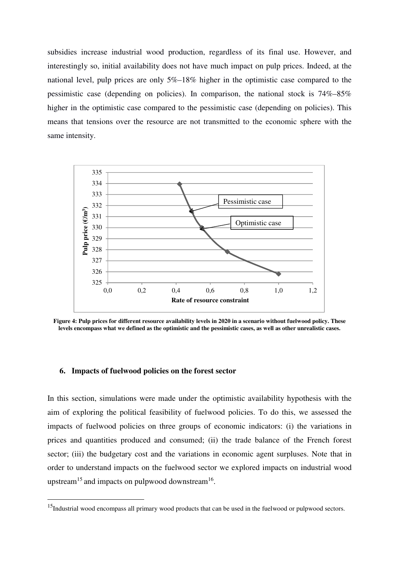subsidies increase industrial wood production, regardless of its final use. However, and interestingly so, initial availability does not have much impact on pulp prices. Indeed, at the national level, pulp prices are only 5%–18% higher in the optimistic case compared to the pessimistic case (depending on policies). In comparison, the national stock is 74%–85% higher in the optimistic case compared to the pessimistic case (depending on policies). This means that tensions over the resource are not transmitted to the economic sphere with the same intensity.



**Figure 4: Pulp prices for different resource availability levels in 2020 in a scenario without fuelwood policy. These levels encompass what we defined as the optimistic and the pessimistic cases, as well as other unrealistic cases.** 

#### **6. Impacts of fuelwood policies on the forest sector**

l

In this section, simulations were made under the optimistic availability hypothesis with the aim of exploring the political feasibility of fuelwood policies. To do this, we assessed the impacts of fuelwood policies on three groups of economic indicators: (i) the variations in prices and quantities produced and consumed; (ii) the trade balance of the French forest sector; (iii) the budgetary cost and the variations in economic agent surpluses. Note that in order to understand impacts on the fuelwood sector we explored impacts on industrial wood upstream<sup>15</sup> and impacts on pulpwood downstream<sup>16</sup>.

<sup>&</sup>lt;sup>15</sup>Industrial wood encompass all primary wood products that can be used in the fuelwood or pulpwood sectors.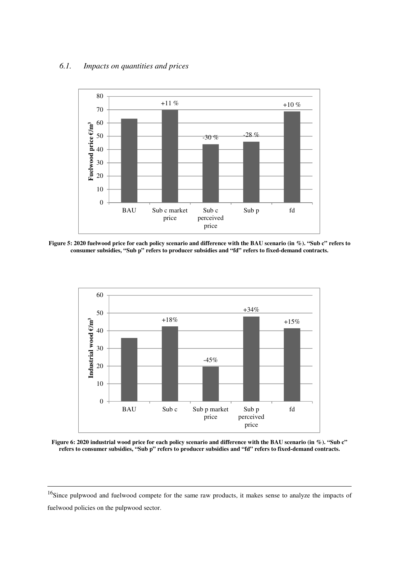## *6.1. Impacts on quantities and prices*



**Figure 5: 2020 fuelwood price for each policy scenario and difference with the BAU scenario (in %). "Sub c" refers to consumer subsidies, "Sub p" refers to producer subsidies and "fd" refers to fixed-demand contracts.** 



**Figure 6: 2020 industrial wood price for each policy scenario and difference with the BAU scenario (in %). "Sub c" refers to consumer subsidies, "Sub p" refers to producer subsidies and "fd" refers to fixed-demand contracts.** 

.

<sup>&</sup>lt;sup>16</sup>Since pulpwood and fuelwood compete for the same raw products, it makes sense to analyze the impacts of fuelwood policies on the pulpwood sector.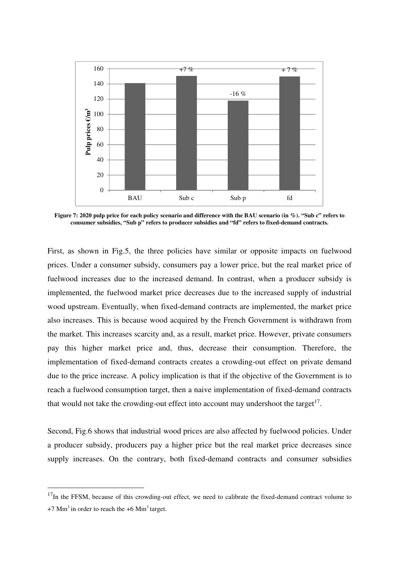

**Figure 7: 2020 pulp price for each policy scenario and difference with the BAU scenario (in %). "Sub c" refers to consumer subsidies, "Sub p" refers to producer subsidies and "fd" refers to fixed-demand contracts.** 

First, as shown in Fig.5, the three policies have similar or opposite impacts on fuelwood prices. Under a consumer subsidy, consumers pay a lower price, but the real market price of fuelwood increases due to the increased demand. In contrast, when a producer subsidy is implemented, the fuelwood market price decreases due to the increased supply of industrial wood upstream. Eventually, when fixed-demand contracts are implemented, the market price also increases. This is because wood acquired by the French Government is withdrawn from the market. This increases scarcity and, as a result, market price. However, private consumers pay this higher market price and, thus, decrease their consumption. Therefore, the implementation of fixed-demand contracts creates a crowding-out effect on private demand due to the price increase. A policy implication is that if the objective of the Government is to reach a fuelwood consumption target, then a naive implementation of fixed-demand contracts that would not take the crowding-out effect into account may undershoot the target<sup>17</sup>.

Second, Fig.6 shows that industrial wood prices are also affected by fuelwood policies. Under a producer subsidy, producers pay a higher price but the real market price decreases since supply increases. On the contrary, both fixed-demand contracts and consumer subsidies

j

<sup>&</sup>lt;sup>17</sup>In the FFSM, because of this crowding-out effect, we need to calibrate the fixed-demand contract volume to  $+7$  Mm<sup>3</sup> in order to reach the  $+6$  Mm<sup>3</sup> target.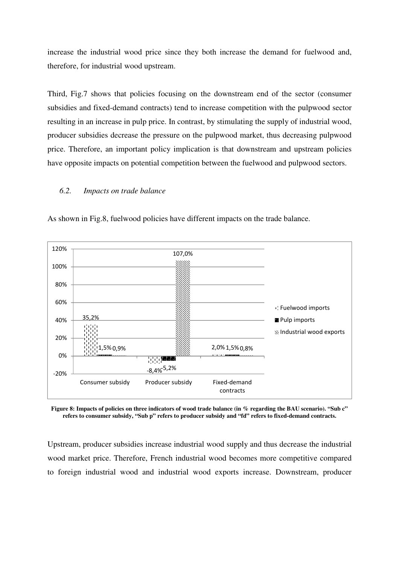increase the industrial wood price since they both increase the demand for fuelwood and, therefore, for industrial wood upstream.

Third, Fig.7 shows that policies focusing on the downstream end of the sector (consumer subsidies and fixed-demand contracts) tend to increase competition with the pulpwood sector resulting in an increase in pulp price. In contrast, by stimulating the supply of industrial wood, producer subsidies decrease the pressure on the pulpwood market, thus decreasing pulpwood price. Therefore, an important policy implication is that downstream and upstream policies have opposite impacts on potential competition between the fuelwood and pulpwood sectors.

#### *6.2. Impacts on trade balance*



As shown in Fig.8, fuelwood policies have different impacts on the trade balance.

Figure 8: Impacts of policies on three indicators of wood trade balance (in % regarding the BAU scenario). "Sub c" **refers to consumer subsidy, "Sub p" refers to producer subsidy and "fd" refers to fixed-demand contracts.** 

Upstream, producer subsidies increase industrial wood supply and thus decrease the industrial wood market price. Therefore, French industrial wood becomes more competitive compared to foreign industrial wood and industrial wood exports increase. Downstream, producer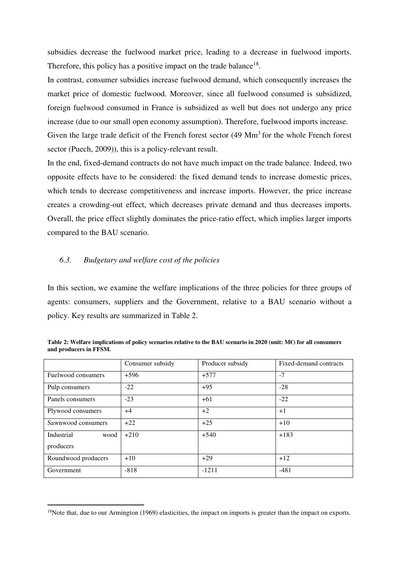subsidies decrease the fuelwood market price, leading to a decrease in fuelwood imports. Therefore, this policy has a positive impact on the trade balance<sup>18</sup>.

In contrast, consumer subsidies increase fuelwood demand, which consequently increases the market price of domestic fuelwood. Moreover, since all fuelwood consumed is subsidized, foreign fuelwood consumed in France is subsidized as well but does not undergo any price increase (due to our small open economy assumption). Therefore, fuelwood imports increase. Given the large trade deficit of the French forest sector  $(49 \text{ Mm}^3)$  for the whole French forest sector (Puech, 2009)), this is a policy-relevant result.

In the end, fixed-demand contracts do not have much impact on the trade balance. Indeed, two opposite effects have to be considered: the fixed demand tends to increase domestic prices, which tends to decrease competitiveness and increase imports. However, the price increase creates a crowding-out effect, which decreases private demand and thus decreases imports. Overall, the price effect slightly dominates the price-ratio effect, which implies larger imports compared to the BAU scenario.

# *6.3. Budgetary and welfare cost of the policies*

l

In this section, we examine the welfare implications of the three policies for three groups of agents: consumers, suppliers and the Government, relative to a BAU scenario without a policy. Key results are summarized in Table 2.

|                     | Consumer subsidy | Producer subsidy | Fixed-demand contracts |  |
|---------------------|------------------|------------------|------------------------|--|
| Fuelwood consumers  | $+596$           | $+577$           | $-7$                   |  |
| Pulp consumers      | $-22$            | $+95$            | $-28$                  |  |
| Panels consumers    | $-23$            | $+61$            | $-22$                  |  |
| Plywood consumers   | $+4$             | $+2$             | $+1$                   |  |
| Sawnwood consumers  | $+22$            | $+25$            | $+10$                  |  |
| Industrial<br>wood  | $+210$           | $+540$           | $+183$                 |  |
| producers           |                  |                  |                        |  |
| Roundwood producers | $+10$            | $+29$            | $+12$                  |  |
| Government          | $-818$           | $-1211$          | $-481$                 |  |

**Table 2: Welfare implications of policy scenarios relative to the BAU scenario in 2020 (unit: M€) for all consumers and producers in FFSM.** 

<sup>&</sup>lt;sup>18</sup>Note that, due to our Armington (1969) elasticities, the impact on imports is greater than the impact on exports.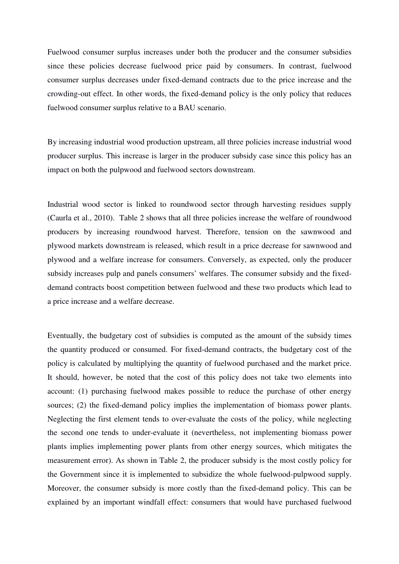Fuelwood consumer surplus increases under both the producer and the consumer subsidies since these policies decrease fuelwood price paid by consumers. In contrast, fuelwood consumer surplus decreases under fixed-demand contracts due to the price increase and the crowding-out effect. In other words, the fixed-demand policy is the only policy that reduces fuelwood consumer surplus relative to a BAU scenario.

By increasing industrial wood production upstream, all three policies increase industrial wood producer surplus. This increase is larger in the producer subsidy case since this policy has an impact on both the pulpwood and fuelwood sectors downstream.

Industrial wood sector is linked to roundwood sector through harvesting residues supply (Caurla et al., 2010). Table 2 shows that all three policies increase the welfare of roundwood producers by increasing roundwood harvest. Therefore, tension on the sawnwood and plywood markets downstream is released, which result in a price decrease for sawnwood and plywood and a welfare increase for consumers. Conversely, as expected, only the producer subsidy increases pulp and panels consumers' welfares. The consumer subsidy and the fixeddemand contracts boost competition between fuelwood and these two products which lead to a price increase and a welfare decrease.

Eventually, the budgetary cost of subsidies is computed as the amount of the subsidy times the quantity produced or consumed. For fixed-demand contracts, the budgetary cost of the policy is calculated by multiplying the quantity of fuelwood purchased and the market price. It should, however, be noted that the cost of this policy does not take two elements into account: (1) purchasing fuelwood makes possible to reduce the purchase of other energy sources; (2) the fixed-demand policy implies the implementation of biomass power plants. Neglecting the first element tends to over-evaluate the costs of the policy, while neglecting the second one tends to under-evaluate it (nevertheless, not implementing biomass power plants implies implementing power plants from other energy sources, which mitigates the measurement error). As shown in Table 2, the producer subsidy is the most costly policy for the Government since it is implemented to subsidize the whole fuelwood-pulpwood supply. Moreover, the consumer subsidy is more costly than the fixed-demand policy. This can be explained by an important windfall effect: consumers that would have purchased fuelwood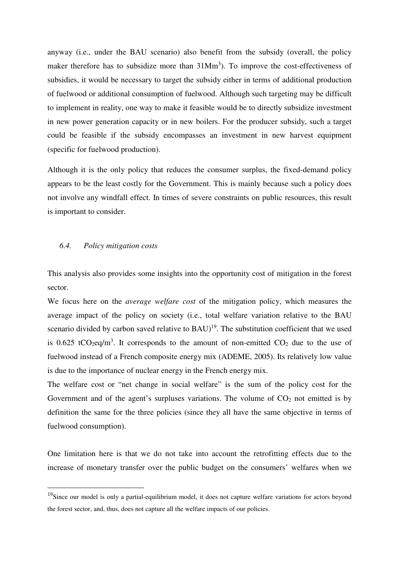anyway (i.e., under the BAU scenario) also benefit from the subsidy (overall, the policy maker therefore has to subsidize more than  $31Mm<sup>3</sup>$ ). To improve the cost-effectiveness of subsidies, it would be necessary to target the subsidy either in terms of additional production of fuelwood or additional consumption of fuelwood. Although such targeting may be difficult to implement in reality, one way to make it feasible would be to directly subsidize investment in new power generation capacity or in new boilers. For the producer subsidy, such a target could be feasible if the subsidy encompasses an investment in new harvest equipment (specific for fuelwood production).

Although it is the only policy that reduces the consumer surplus, the fixed-demand policy appears to be the least costly for the Government. This is mainly because such a policy does not involve any windfall effect. In times of severe constraints on public resources, this result is important to consider.

#### *6.4. Policy mitigation costs*

j

This analysis also provides some insights into the opportunity cost of mitigation in the forest sector.

We focus here on the *average welfare cost* of the mitigation policy, which measures the average impact of the policy on society (i.e., total welfare variation relative to the BAU scenario divided by carbon saved relative to  $BAU$ <sup>19</sup>. The substitution coefficient that we used is 0.625 tCO<sub>2</sub>eq/m<sup>3</sup>. It corresponds to the amount of non-emitted  $CO<sub>2</sub>$  due to the use of fuelwood instead of a French composite energy mix (ADEME, 2005). Its relatively low value is due to the importance of nuclear energy in the French energy mix.

The welfare cost or "net change in social welfare" is the sum of the policy cost for the Government and of the agent's surpluses variations. The volume of  $CO<sub>2</sub>$  not emitted is by definition the same for the three policies (since they all have the same objective in terms of fuelwood consumption).

One limitation here is that we do not take into account the retrofitting effects due to the increase of monetary transfer over the public budget on the consumers' welfares when we

<sup>&</sup>lt;sup>19</sup>Since our model is only a partial-equilibrium model, it does not capture welfare variations for actors beyond the forest sector, and, thus, does not capture all the welfare impacts of our policies.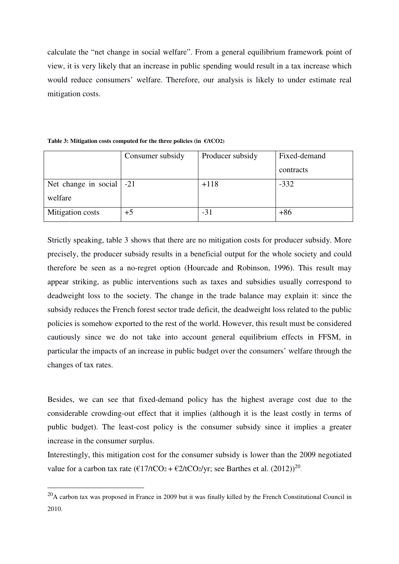calculate the "net change in social welfare". From a general equilibrium framework point of view, it is very likely that an increase in public spending would result in a tax increase which would reduce consumers' welfare. Therefore, our analysis is likely to under estimate real mitigation costs.

|                                  | Consumer subsidy | Producer subsidy | Fixed-demand |  |
|----------------------------------|------------------|------------------|--------------|--|
|                                  |                  |                  | contracts    |  |
| Net change in social $\vert$ -21 |                  | $+118$           | $-332$       |  |
| welfare                          |                  |                  |              |  |
| Mitigation costs                 | $+5$             | $-31$            | $+86$        |  |

**Table 3: Mitigation costs computed for the three policies (in**  $\frac{\ell}{t}$ **CO2)** 

Strictly speaking, table 3 shows that there are no mitigation costs for producer subsidy. More precisely, the producer subsidy results in a beneficial output for the whole society and could therefore be seen as a no-regret option (Hourcade and Robinson, 1996). This result may appear striking, as public interventions such as taxes and subsidies usually correspond to deadweight loss to the society. The change in the trade balance may explain it: since the subsidy reduces the French forest sector trade deficit, the deadweight loss related to the public policies is somehow exported to the rest of the world. However, this result must be considered cautiously since we do not take into account general equilibrium effects in FFSM, in particular the impacts of an increase in public budget over the consumers' welfare through the changes of tax rates.

Besides, we can see that fixed-demand policy has the highest average cost due to the considerable crowding-out effect that it implies (although it is the least costly in terms of public budget). The least-cost policy is the consumer subsidy since it implies a greater increase in the consumer surplus.

Interestingly, this mitigation cost for the consumer subsidy is lower than the 2009 negotiated value for a carbon tax rate  $(\text{\textsterling}17/\text{tCO}_2 + \text{\textsterling}2/\text{tCO}_2/\text{yr})$ ; see Barthes et al.  $(2012))^{20}$ .

j

 $^{20}$ A carbon tax was proposed in France in 2009 but it was finally killed by the French Constitutional Council in 2010.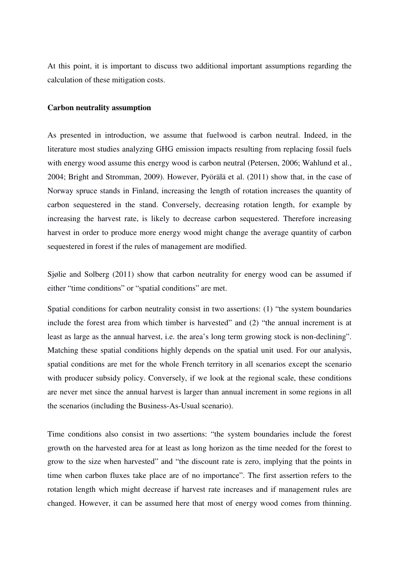At this point, it is important to discuss two additional important assumptions regarding the calculation of these mitigation costs.

#### **Carbon neutrality assumption**

As presented in introduction, we assume that fuelwood is carbon neutral. Indeed, in the literature most studies analyzing GHG emission impacts resulting from replacing fossil fuels with energy wood assume this energy wood is carbon neutral (Petersen, 2006; Wahlund et al., 2004; Bright and Stromman, 2009). However, Pyörälä et al. (2011) show that, in the case of Norway spruce stands in Finland, increasing the length of rotation increases the quantity of carbon sequestered in the stand. Conversely, decreasing rotation length, for example by increasing the harvest rate, is likely to decrease carbon sequestered. Therefore increasing harvest in order to produce more energy wood might change the average quantity of carbon sequestered in forest if the rules of management are modified.

Sjølie and Solberg (2011) show that carbon neutrality for energy wood can be assumed if either "time conditions" or "spatial conditions" are met.

Spatial conditions for carbon neutrality consist in two assertions: (1) "the system boundaries include the forest area from which timber is harvested" and (2) "the annual increment is at least as large as the annual harvest, i.e. the area's long term growing stock is non-declining". Matching these spatial conditions highly depends on the spatial unit used. For our analysis, spatial conditions are met for the whole French territory in all scenarios except the scenario with producer subsidy policy. Conversely, if we look at the regional scale, these conditions are never met since the annual harvest is larger than annual increment in some regions in all the scenarios (including the Business-As-Usual scenario).

Time conditions also consist in two assertions: "the system boundaries include the forest growth on the harvested area for at least as long horizon as the time needed for the forest to grow to the size when harvested" and "the discount rate is zero, implying that the points in time when carbon fluxes take place are of no importance". The first assertion refers to the rotation length which might decrease if harvest rate increases and if management rules are changed. However, it can be assumed here that most of energy wood comes from thinning.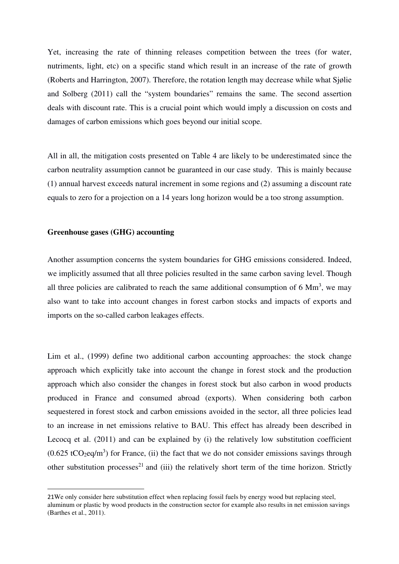Yet, increasing the rate of thinning releases competition between the trees (for water, nutriments, light, etc) on a specific stand which result in an increase of the rate of growth (Roberts and Harrington, 2007). Therefore, the rotation length may decrease while what Sjølie and Solberg (2011) call the "system boundaries" remains the same. The second assertion deals with discount rate. This is a crucial point which would imply a discussion on costs and damages of carbon emissions which goes beyond our initial scope.

All in all, the mitigation costs presented on Table 4 are likely to be underestimated since the carbon neutrality assumption cannot be guaranteed in our case study. This is mainly because (1) annual harvest exceeds natural increment in some regions and (2) assuming a discount rate equals to zero for a projection on a 14 years long horizon would be a too strong assumption.

#### **Greenhouse gases (GHG) accounting**

j

Another assumption concerns the system boundaries for GHG emissions considered. Indeed, we implicitly assumed that all three policies resulted in the same carbon saving level. Though all three policies are calibrated to reach the same additional consumption of  $6 \text{ Mm}^3$ , we may also want to take into account changes in forest carbon stocks and impacts of exports and imports on the so-called carbon leakages effects.

Lim et al., (1999) define two additional carbon accounting approaches: the stock change approach which explicitly take into account the change in forest stock and the production approach which also consider the changes in forest stock but also carbon in wood products produced in France and consumed abroad (exports). When considering both carbon sequestered in forest stock and carbon emissions avoided in the sector, all three policies lead to an increase in net emissions relative to BAU. This effect has already been described in Lecocq et al. (2011) and can be explained by (i) the relatively low substitution coefficient  $(0.625 \text{ tCO}_2 \text{eq/m}^3)$  for France, (ii) the fact that we do not consider emissions savings through other substitution processes<sup>21</sup> and (iii) the relatively short term of the time horizon. Strictly

<sup>21</sup>We only consider here substitution effect when replacing fossil fuels by energy wood but replacing steel, aluminum or plastic by wood products in the construction sector for example also results in net emission savings (Barthes et al., 2011).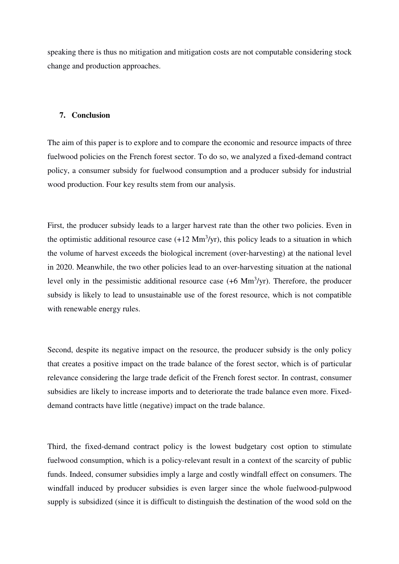speaking there is thus no mitigation and mitigation costs are not computable considering stock change and production approaches.

#### **7. Conclusion**

The aim of this paper is to explore and to compare the economic and resource impacts of three fuelwood policies on the French forest sector. To do so, we analyzed a fixed-demand contract policy, a consumer subsidy for fuelwood consumption and a producer subsidy for industrial wood production. Four key results stem from our analysis.

First, the producer subsidy leads to a larger harvest rate than the other two policies. Even in the optimistic additional resource case  $(+12 \text{ Mm}^3/\text{yr})$ , this policy leads to a situation in which the volume of harvest exceeds the biological increment (over-harvesting) at the national level in 2020. Meanwhile, the two other policies lead to an over-harvesting situation at the national level only in the pessimistic additional resource case  $(+6 \text{ Mm}^3/\text{yr})$ . Therefore, the producer subsidy is likely to lead to unsustainable use of the forest resource, which is not compatible with renewable energy rules.

Second, despite its negative impact on the resource, the producer subsidy is the only policy that creates a positive impact on the trade balance of the forest sector, which is of particular relevance considering the large trade deficit of the French forest sector. In contrast, consumer subsidies are likely to increase imports and to deteriorate the trade balance even more. Fixeddemand contracts have little (negative) impact on the trade balance.

Third, the fixed-demand contract policy is the lowest budgetary cost option to stimulate fuelwood consumption, which is a policy-relevant result in a context of the scarcity of public funds. Indeed, consumer subsidies imply a large and costly windfall effect on consumers. The windfall induced by producer subsidies is even larger since the whole fuelwood-pulpwood supply is subsidized (since it is difficult to distinguish the destination of the wood sold on the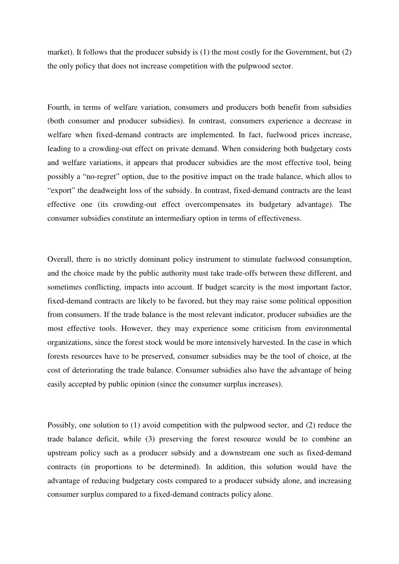market). It follows that the producer subsidy is (1) the most costly for the Government, but (2) the only policy that does not increase competition with the pulpwood sector.

Fourth, in terms of welfare variation, consumers and producers both benefit from subsidies (both consumer and producer subsidies). In contrast, consumers experience a decrease in welfare when fixed-demand contracts are implemented. In fact, fuelwood prices increase, leading to a crowding-out effect on private demand. When considering both budgetary costs and welfare variations, it appears that producer subsidies are the most effective tool, being possibly a "no-regret" option, due to the positive impact on the trade balance, which allos to "export" the deadweight loss of the subsidy. In contrast, fixed-demand contracts are the least effective one (its crowding-out effect overcompensates its budgetary advantage). The consumer subsidies constitute an intermediary option in terms of effectiveness.

Overall, there is no strictly dominant policy instrument to stimulate fuelwood consumption, and the choice made by the public authority must take trade-offs between these different, and sometimes conflicting, impacts into account. If budget scarcity is the most important factor, fixed-demand contracts are likely to be favored, but they may raise some political opposition from consumers. If the trade balance is the most relevant indicator, producer subsidies are the most effective tools. However, they may experience some criticism from environmental organizations, since the forest stock would be more intensively harvested. In the case in which forests resources have to be preserved, consumer subsidies may be the tool of choice, at the cost of deteriorating the trade balance. Consumer subsidies also have the advantage of being easily accepted by public opinion (since the consumer surplus increases).

Possibly, one solution to (1) avoid competition with the pulpwood sector, and (2) reduce the trade balance deficit, while (3) preserving the forest resource would be to combine an upstream policy such as a producer subsidy and a downstream one such as fixed-demand contracts (in proportions to be determined). In addition, this solution would have the advantage of reducing budgetary costs compared to a producer subsidy alone, and increasing consumer surplus compared to a fixed-demand contracts policy alone.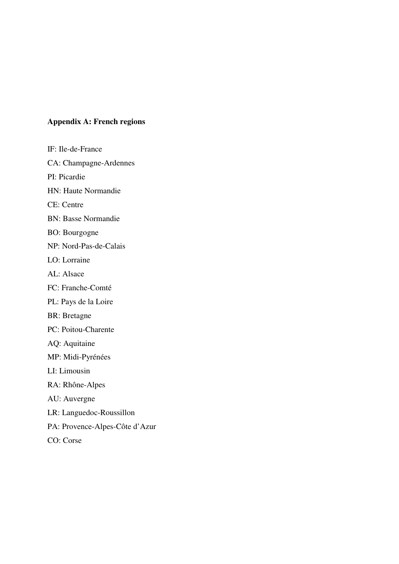# **Appendix A: French regions**

IF: Ile-de-France CA: Champagne-Ardennes PI: Picardie HN: Haute Normandie CE: Centre BN: Basse Normandie BO: Bourgogne NP: Nord-Pas-de-Calais LO: Lorraine AL: Alsace FC: Franche-Comté PL: Pays de la Loire BR: Bretagne PC: Poitou-Charente AQ: Aquitaine MP: Midi-Pyrénées LI: Limousin RA: Rhône-Alpes AU: Auvergne LR: Languedoc-Roussillon PA: Provence-Alpes-Côte d'Azur CO: Corse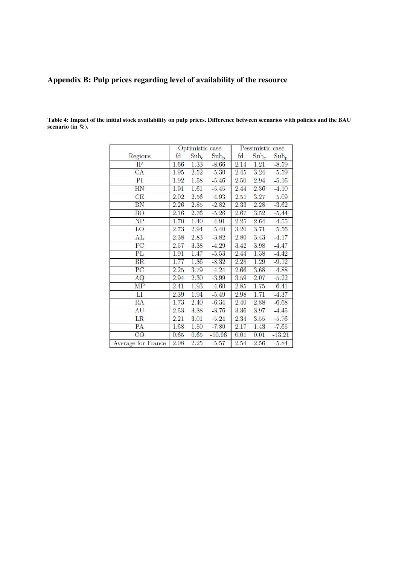# **Appendix B: Pulp prices regarding level of availability of the resource**

|                    | Optimistic case |                  |           | Pessimistic case |                    |           |
|--------------------|-----------------|------------------|-----------|------------------|--------------------|-----------|
| Regions            | fd              | Sub <sub>c</sub> | $Sub_{p}$ | $_{\rm fd}$      | $\mathrm{Sub}_{c}$ | $Sub_{p}$ |
| IF                 | 1.66            | 1.33             | $-8.66$   | 2.14             | 1.21               | $-8.59$   |
| CA                 | 1.95            | 2.52             | $-5.30$   | 2.45             | 3.24               | $-5.59$   |
| PI                 | 1.92            | 1.58             | $-5.46$   | 2.50             | 2.94               | $-5.16$   |
| HN                 | 1.91            | 1.61             | $-5.45$   | 2.44             | 2.36               | $-4.10$   |
| CE                 | 2.02            | 2.56             | $-4.93$   | 2.51             | 3.27               | $-5.09$   |
| <b>BN</b>          | 2.26            | 2.85             | $-2.82$   | 2.33             | 2.28               | $-3.62$   |
| <b>BO</b>          | 2.16            | 2.76             | $-5.26$   | 2.67             | 3.52               | $-5.44$   |
| NP                 | 1.70            | 1.40             | $-4.91$   | 2.25             | 2.64               | $-4.55$   |
| <b>LO</b>          | 2.73            | 2.94             | $-5.40$   | 3.20             | 3.71               | $-5.56$   |
| AL                 | 2.38            | 2.83             | $-3.82$   | 2.80             | 3.43               | $-4.17$   |
| FC                 | 2.57            | 3.38             | $-4.29$   | 3.42             | 3.98               | $-4.47$   |
| PL                 | 1.91            | 1.47             | $-5.53$   | 2.44             | 1.38               | $-4.42$   |
| <b>BR</b>          | 1.77            | 1.36             | $-8.32$   | 2.28             | 1.29               | $-9.12$   |
| PC                 | 2.25            | 3.79             | $-4.24$   | 2.66             | 3.68               | $-4.88$   |
| AQ                 | 2.94            | 2.30             | $-3.99$   | 3.59             | 2.07               | $-5.22$   |
| <b>MP</b>          | 2.41            | 1.93             | $-4.60$   | 2.85             | 1.75               | $-6.41$   |
| Ы                  | 2.39            | 1.94             | $-5.49$   | 2.98             | 1.71               | $-4.37$   |
| RA                 | 1.73            | 2.40             | $-6.34$   | 2.40             | 2.88               | $-6.68$   |
| AU                 | 2.53            | 3.38             | $-3.76$   | 3.36             | 3.97               | $-4.45$   |
| LR                 | 2.21            | 3.01             | $-5.24$   | 2.34             | 3.55               | $-5.76$   |
| PA                 | 1.68            | 1.50             | $-7.80$   | 2.17             | 1.43               | $-7.65$   |
| CO                 | 0.65            | 0.65             | $-10.96$  | 0.01             | 0.01               | $-13.21$  |
| Average for France | 2.08            | 2.25             | $-5.57$   | 2.54             | 2.56               | $-5.84$   |

**Table 4: Impact of the initial stock availability on pulp prices. Difference between scenarios with policies and the BAU scenario (in %).**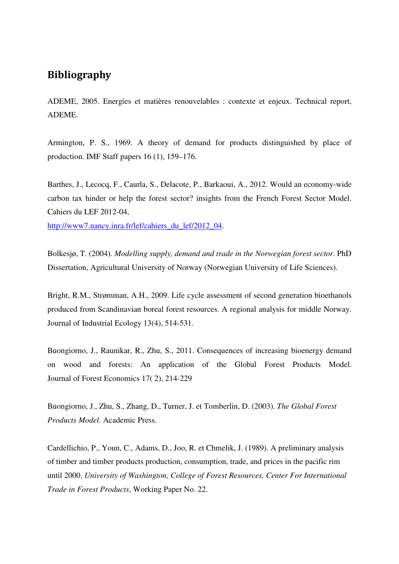# **Bibliography**

ADEME, 2005. Energies et matières renouvelables : contexte et enjeux. Technical report, ADEME.

Armington, P. S., 1969. A theory of demand for products distinguished by place of production. IMF Staff papers 16 (1), 159–176.

Barthes, J., Lecocq, F., Caurla, S., Delacote, P., Barkaoui, A., 2012. Would an economy-wide carbon tax hinder or help the forest sector? insights from the French Forest Sector Model. Cahiers du LEF 2012-04,

http://www7.nancy.inra.fr/lef/cahiers\_du\_lef/2012\_04.

Bolkesjø, T. (2004). *Modelling supply, demand and trade in the Norwegian forest sector*. PhD Dissertation, Agricultural University of Norway (Norwegian University of Life Sciences).

Bright, R.M., Strømman, A.H., 2009. Life cycle assessment of second generation bioethanols produced from Scandinavian boreal forest resources. A regional analysis for middle Norway. Journal of Industrial Ecology 13(4), 514-531.

Buongiorno, J., Raunikar, R., Zhu, S., 2011. Consequences of increasing bioenergy demand on wood and forests: An application of the Global Forest Products Model. Journal of Forest Economics 17( 2), 214-229

Buongiorno, J., Zhu, S., Zhang, D., Turner, J. et Tomberlin, D. (2003). *The Global Forest Products Model*. Academic Press.

Cardellichio, P., Youn, C., Adams, D., Joo, R. et Chmelik, J. (1989). A preliminary analysis of timber and timber products production, consumption, trade, and prices in the pacific rim until 2000. *University of Washington, College of Forest Resources, Center For International Trade in Forest Products*, Working Paper No. 22.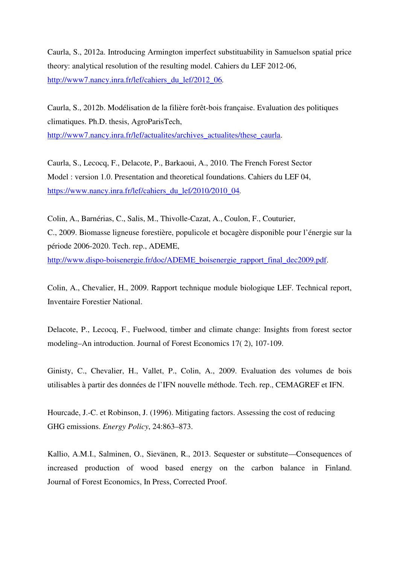Caurla, S., 2012a. Introducing Armington imperfect substituability in Samuelson spatial price theory: analytical resolution of the resulting model. Cahiers du LEF 2012-06, http://www7.nancy.inra.fr/lef/cahiers\_du\_lef/2012\_06*.* 

Caurla, S., 2012b. Modélisation de la filière forêt-bois française. Evaluation des politiques climatiques. Ph.D. thesis, AgroParisTech,

http://www7.nancy.inra.fr/lef/actualites/archives\_actualites/these\_caurla.

Caurla, S., Lecocq, F., Delacote, P., Barkaoui, A., 2010. The French Forest Sector Model : version 1.0. Presentation and theoretical foundations. Cahiers du LEF 04, https://www.nancy.inra.fr/lef/cahiers\_du\_lef*/*2010*/*2010\_04*.* 

Colin, A., Barnérias, C., Salis, M., Thivolle-Cazat, A., Coulon, F., Couturier, C., 2009. Biomasse ligneuse forestière, populicole et bocagère disponible pour l'énergie sur la période 2006-2020. Tech. rep., ADEME, http://www.dispo-boisenergie.fr/doc/ADEME\_boisenergie\_rapport\_final\_dec2009.pdf.

Colin, A., Chevalier, H., 2009. Rapport technique module biologique LEF. Technical report, Inventaire Forestier National.

Delacote, P., Lecocq, F., Fuelwood, timber and climate change: Insights from forest sector modeling–An introduction. Journal of Forest Economics 17( 2), 107-109.

Ginisty, C., Chevalier, H., Vallet, P., Colin, A., 2009. Evaluation des volumes de bois utilisables à partir des données de l'IFN nouvelle méthode. Tech. rep., CEMAGREF et IFN.

Hourcade, J.-C. et Robinson, J. (1996). Mitigating factors. Assessing the cost of reducing GHG emissions. *Energy Policy*, 24:863–873.

Kallio, A.M.I., Salminen, O., Sievänen, R., 2013. Sequester or substitute—Consequences of increased production of wood based energy on the carbon balance in Finland. Journal of Forest Economics, In Press, Corrected Proof.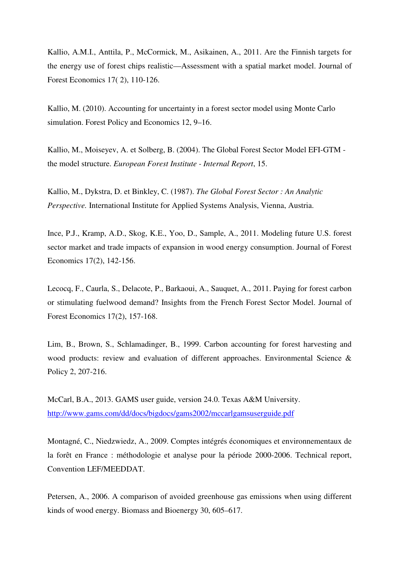Kallio, A.M.I., Anttila, P., McCormick, M., Asikainen, A., 2011. Are the Finnish targets for the energy use of forest chips realistic—Assessment with a spatial market model. Journal of Forest Economics 17( 2), 110-126.

Kallio, M. (2010). Accounting for uncertainty in a forest sector model using Monte Carlo simulation. Forest Policy and Economics 12, 9–16.

Kallio, M., Moiseyev, A. et Solberg, B. (2004). The Global Forest Sector Model EFI-GTM the model structure. *European Forest Institute - Internal Report*, 15.

Kallio, M., Dykstra, D. et Binkley, C. (1987). *The Global Forest Sector : An Analytic Perspective.* International Institute for Applied Systems Analysis, Vienna, Austria.

Ince, P.J., Kramp, A.D., Skog, K.E., Yoo, D., Sample, A., 2011. Modeling future U.S. forest sector market and trade impacts of expansion in wood energy consumption. Journal of Forest Economics 17(2), 142-156.

Lecocq, F., Caurla, S., Delacote, P., Barkaoui, A., Sauquet, A., 2011. Paying for forest carbon or stimulating fuelwood demand? Insights from the French Forest Sector Model. Journal of Forest Economics 17(2), 157-168.

Lim, B., Brown, S., Schlamadinger, B., 1999. Carbon accounting for forest harvesting and wood products: review and evaluation of different approaches. Environmental Science & Policy 2, 207-216.

McCarl, B.A., 2013. GAMS user guide, version 24.0. Texas A&M University. http://www.gams.com/dd/docs/bigdocs/gams2002/mccarlgamsuserguide.pdf

Montagné, C., Niedzwiedz, A., 2009. Comptes intégrés économiques et environnementaux de la forêt en France : méthodologie et analyse pour la période 2000-2006. Technical report, Convention LEF/MEEDDAT.

Petersen, A., 2006. A comparison of avoided greenhouse gas emissions when using different kinds of wood energy. Biomass and Bioenergy 30, 605–617.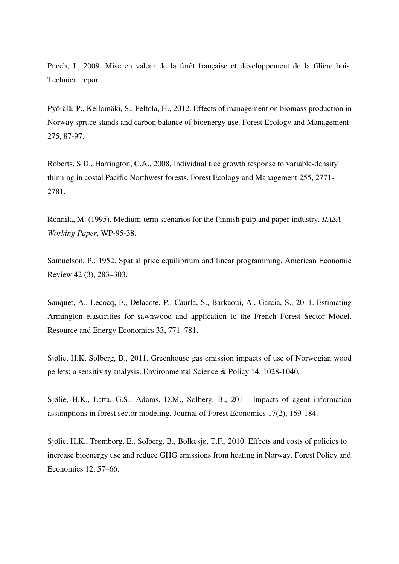Puech, J., 2009. Mise en valeur de la forêt française et développement de la filière bois. Technical report.

Pyörälä, P., Kellomäki, S., Peltola, H., 2012. Effects of management on biomass production in Norway spruce stands and carbon balance of bioenergy use. Forest Ecology and Management 275, 87-97.

Roberts, S.D., Harrington, C.A., 2008. Individual tree growth response to variable-density thinning in costal Pacific Northwest forests. Forest Ecology and Management 255, 2771- 2781.

Ronnila, M. (1995). Medium-term scenarios for the Finnish pulp and paper industry. *IIASA Working Paper*, WP-95-38.

Samuelson, P., 1952. Spatial price equilibrium and linear programming. American Economic Review 42 (3), 283–303.

Sauquet, A., Lecocq, F., Delacote, P., Caurla, S., Barkaoui, A., Garcia, S., 2011. Estimating Armington elasticities for sawnwood and application to the French Forest Sector Model. Resource and Energy Economics 33, 771–781.

Sjølie, H.K, Solberg, B., 2011. Greenhouse gas emission impacts of use of Norwegian wood pellets: a sensitivity analysis. Environmental Science & Policy 14, 1028-1040.

Sjølie, H.K., Latta, G.S., Adams, D.M., Solberg, B., 2011. Impacts of agent information assumptions in forest sector modeling. Journal of Forest Economics 17(2), 169-184.

Sjølie, H.K., Trømborg, E., Solberg, B., Bolkesjø, T.F., 2010. Effects and costs of policies to increase bioenergy use and reduce GHG emissions from heating in Norway. Forest Policy and Economics 12, 57–66.